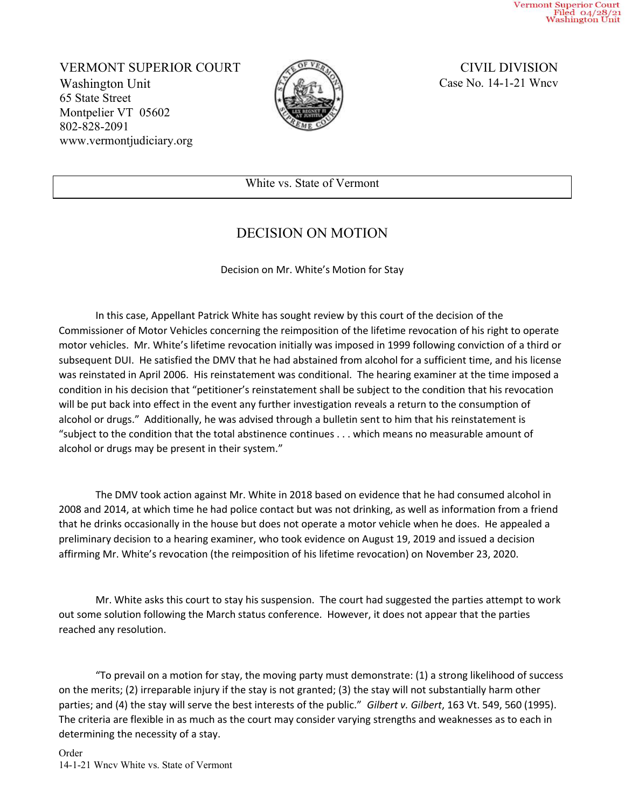Vermont Superior Court<br>Filed 04/28/21<br>Washington Unit

VERMONT SUPERIOR COURT CIVIL DIVISION Washington Unit 65 State Street Montpelier VT 05602 802-828-2091 www.vermontjudiciary.org



Case No. 14-1-21 Wncv

White vs. State of Vermont

## DECISION ON MOTION

Decision on Mr. White's Motion for Stay

In this case, Appellant Patrick White has sought review by this court of the decision of the Commissioner of Motor Vehicles concerning the reimposition of the lifetime revocation of his right to operate motor vehicles. Mr. White's lifetime revocation initially was imposed in 1999 following conviction of a third or subsequent DUI. He satisfied the DMV that he had abstained from alcohol for a sufficient time, and his license was reinstated in April 2006. His reinstatement was conditional. The hearing examiner at the time imposed a condition in his decision that "petitioner's reinstatement shall be subject to the condition that his revocation will be put back into effect in the event any further investigation reveals a return to the consumption of alcohol or drugs." Additionally, he was advised through a bulletin sent to him that his reinstatement is "subject to the condition that the total abstinence continues . . . which means no measurable amount of alcohol or drugs may be present in their system."

The DMV took action against Mr. White in 2018 based on evidence that he had consumed alcohol in 2008 and 2014, at which time he had police contact but was not drinking, as well as information from a friend that he drinks occasionally in the house but does not operate a motor vehicle when he does. He appealed a preliminary decision to a hearing examiner, who took evidence on August 19, 2019 and issued a decision affirming Mr. White's revocation (the reimposition of his lifetime revocation) on November 23, 2020.

Mr. White asks this court to stay his suspension. The court had suggested the parties attempt to work out some solution following the March status conference. However, it does not appear that the parties reached any resolution.

"To prevail on a motion for stay, the moving party must demonstrate: (1) a strong likelihood of success on the merits; (2) irreparable injury if the stay is not granted; (3) the stay will not substantially harm other parties; and (4) the stay will serve the best interests of the public." Gilbert v. Gilbert, 163 Vt. 549, 560 (1995). The criteria are flexible in as much as the court may consider varying strengths and weaknesses as to each in determining the necessity of a stay.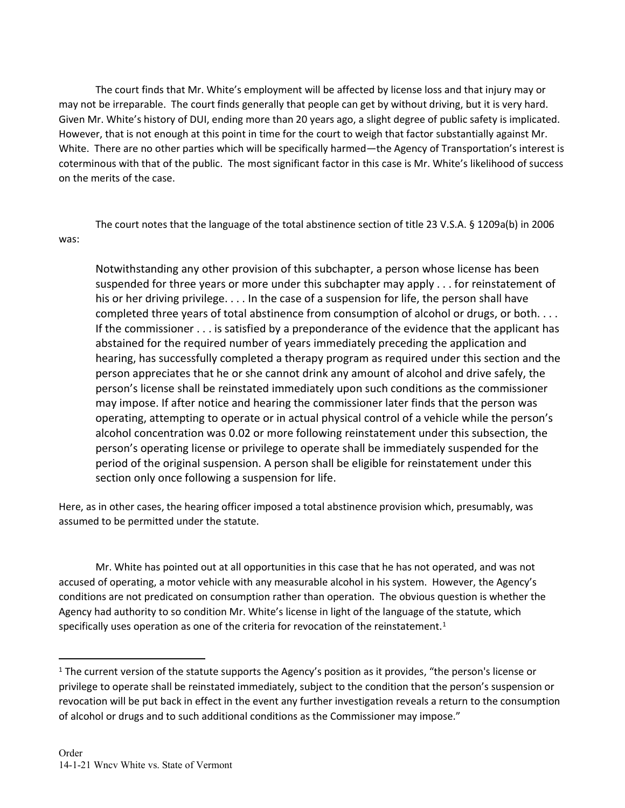The court finds that Mr. White's employment will be affected by license loss and that injury may or may not be irreparable. The court finds generally that people can get by without driving, but it is very hard. Given Mr. White's history of DUI, ending more than 20 years ago, a slight degree of public safety is implicated. However, that is not enough at this point in time for the court to weigh that factor substantially against Mr. White. There are no other parties which will be specifically harmed—the Agency of Transportation's interest is coterminous with that of the public. The most significant factor in this case is Mr. White's likelihood of success on the merits of the case.

The court notes that the language of the total abstinence section of title 23 V.S.A. § 1209a(b) in 2006 was:

Notwithstanding any other provision of this subchapter, a person whose license has been suspended for three years or more under this subchapter may apply . . . for reinstatement of his or her driving privilege. . . . In the case of a suspension for life, the person shall have completed three years of total abstinence from consumption of alcohol or drugs, or both.... If the commissioner . . . is satisfied by a preponderance of the evidence that the applicant has abstained for the required number of years immediately preceding the application and hearing, has successfully completed a therapy program as required under this section and the person appreciates that he or she cannot drink any amount of alcohol and drive safely, the person's license shall be reinstated immediately upon such conditions as the commissioner may impose. If after notice and hearing the commissioner later finds that the person was operating, attempting to operate or in actual physical control of a vehicle while the person's alcohol concentration was 0.02 or more following reinstatement under this subsection, the person's operating license or privilege to operate shall be immediately suspended for the period of the original suspension. A person shall be eligible for reinstatement under this section only once following a suspension for life.

Here, as in other cases, the hearing officer imposed a total abstinence provision which, presumably, was assumed to be permitted under the statute.

Mr. White has pointed out at all opportunities in this case that he has not operated, and was not accused of operating, a motor vehicle with any measurable alcohol in his system. However, the Agency's conditions are not predicated on consumption rather than operation. The obvious question is whether the Agency had authority to so condition Mr. White's license in light of the language of the statute, which specifically uses operation as one of the criteria for revocation of the reinstatement.<sup>1</sup>

<sup>&</sup>lt;sup>1</sup> The current version of the statute supports the Agency's position as it provides, "the person's license or privilege to operate shall be reinstated immediately, subject to the condition that the person's suspension or revocation will be put back in effect in the event any further investigation reveals a return to the consumption of alcohol or drugs and to such additional conditions as the Commissioner may impose."